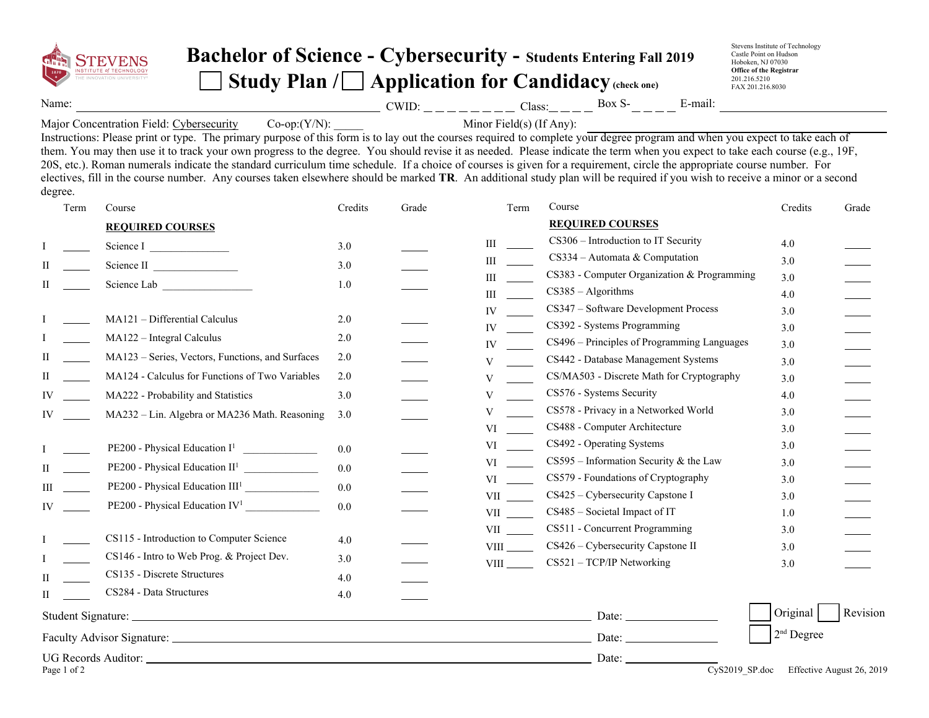

## **Bachelor of Science - Cybersecurity - Students Entering Fall 201<sup>9</sup>** Study Plan / **Application for Candidacy** (check one)

Stevens Institute of Technology Castle Point on Hudson Hoboken, NJ 07030 **Office of the Registrar** 201.216.5210 FAX 201.216.8030

Name:  $\frac{CWD:_{\text{max}}}{CWD:_{\text{max}}-C=_{\text{max}}-C}$  Class: $\frac{CWD:_{\text{max}}-C=_{\text{max}}-C}$  Box S- $\frac{C}{T}=_{\text{max}}-C$ 

Major Concentration Field: Cybersecurity  $Co-op:(Y/N)$ : Minor Field(s) (If Any):

Instructions: Please print or type. The primary purpose of this form is to lay out the courses required to complete your degree program and when you expect to take each of them. You may then use it to track your own progress to the degree. You should revise it as needed. Please indicate the term when you expect to take each course (e.g., 19F, 20S, etc.). Roman numerals indicate the standard curriculum time schedule. If a choice of courses is given for a requirement, circle the appropriate course number. For electives, fill in the course number. Any courses taken elsewhere should be marked **TR**. An additional study plan will be required if you wish to receive a minor or a second degree.

| Term        | Course                                            | Credits | Grade | Term                                                                                                                                                                                                                           | Course                                      | Credits      | Grade                     |
|-------------|---------------------------------------------------|---------|-------|--------------------------------------------------------------------------------------------------------------------------------------------------------------------------------------------------------------------------------|---------------------------------------------|--------------|---------------------------|
|             | <b>REQUIRED COURSES</b>                           |         |       |                                                                                                                                                                                                                                | <b>REQUIRED COURSES</b>                     |              |                           |
|             | Science I                                         | 3.0     |       | Ш                                                                                                                                                                                                                              | CS306 - Introduction to IT Security         | 4.0          |                           |
|             | Science II                                        | 3.0     |       | Ш                                                                                                                                                                                                                              | $CS334 -$ Automata & Computation            | 3.0          |                           |
|             | Science Lab                                       | 1.0     |       | Ш                                                                                                                                                                                                                              | CS383 - Computer Organization & Programming | 3.0          |                           |
|             |                                                   |         |       | Ш                                                                                                                                                                                                                              | $CS385 - Algorithms$                        | 4.0          |                           |
|             | MA121 - Differential Calculus                     | 2.0     |       | IV                                                                                                                                                                                                                             | CS347 - Software Development Process        | 3.0          |                           |
|             | $MA122 - Integral Calculus$                       | 2.0     |       | IV                                                                                                                                                                                                                             | CS392 - Systems Programming                 | 3.0          |                           |
|             |                                                   |         |       | IV                                                                                                                                                                                                                             | CS496 – Principles of Programming Languages | 3.0          |                           |
|             | MA123 – Series, Vectors, Functions, and Surfaces  | 2.0     |       | V                                                                                                                                                                                                                              | CS442 - Database Management Systems         | 3.0          |                           |
|             | MA124 - Calculus for Functions of Two Variables   | 2.0     |       | V                                                                                                                                                                                                                              | CS/MA503 - Discrete Math for Cryptography   | 3.0          |                           |
| IV          | MA222 - Probability and Statistics                | 3.0     |       | $\mathbf{V}$                                                                                                                                                                                                                   | CS576 - Systems Security                    | 4.0          |                           |
| IV          | MA232 - Lin. Algebra or MA236 Math. Reasoning     | 3.0     |       | V                                                                                                                                                                                                                              | CS578 - Privacy in a Networked World        | 3.0          |                           |
|             |                                                   |         |       | VI                                                                                                                                                                                                                             | CS488 - Computer Architecture               | 3.0          |                           |
|             | PE200 - Physical Education $I^1$ _______________  | 0.0     |       | VI                                                                                                                                                                                                                             | CS492 - Operating Systems                   | 3.0          |                           |
|             | PE200 - Physical Education $II^1$ _______________ | 0.0     |       | VI and the set of the set of the set of the set of the set of the set of the set of the set of the set of the set of the set of the set of the set of the set of the set of the set of the set of the set of the set of the se | $CS595$ – Information Security & the Law    | 3.0          |                           |
|             | PE200 - Physical Education III <sup>1</sup>       | 0.0     |       | VI and the set of the set of the set of the set of the set of the set of the set of the set of the set of the set of the set of the set of the set of the set of the set of the set of the set of the set of the set of the se | CS579 - Foundations of Cryptography         | 3.0          |                           |
| IV          | PE200 - Physical Education $IV^1$                 | 0.0     |       | VII version of the set of the set of the set of the set of the set of the set of the set of the set of the set of the set of the set of the set of the set of the set of the set of the set of the set of the set of the set o | CS425 - Cybersecurity Capstone I            | 3.0          |                           |
|             |                                                   |         |       | <b>VII</b>                                                                                                                                                                                                                     | CS485 - Societal Impact of IT               | 1.0          |                           |
|             | CS115 - Introduction to Computer Science          | 4.0     |       | VII version of the set of the set of the set of the set of the set of the set of the set of the set of the set of the set of the set of the set of the set of the set of the set of the set of the set of the set of the set o | CS511 - Concurrent Programming              | 3.0          |                           |
|             | CS146 - Intro to Web Prog. & Project Dev.         | 3.0     |       | <b>VIII</b>                                                                                                                                                                                                                    | CS426 - Cybersecurity Capstone II           | 3.0          |                           |
|             | CS135 - Discrete Structures                       |         |       | <b>VIII</b>                                                                                                                                                                                                                    | CS521 - TCP/IP Networking                   | 3.0          |                           |
|             | CS284 - Data Structures                           | 4.0     |       |                                                                                                                                                                                                                                |                                             |              |                           |
|             |                                                   | 4.0     |       |                                                                                                                                                                                                                                |                                             |              |                           |
|             |                                                   |         |       |                                                                                                                                                                                                                                |                                             | Original     | Revision                  |
|             |                                                   |         |       |                                                                                                                                                                                                                                | Date: $\qquad \qquad$                       | $2nd$ Degree |                           |
|             |                                                   |         |       |                                                                                                                                                                                                                                | Date:<br>$\overline{Cv}$ S2019_SP.doc       |              |                           |
| Page 1 of 2 |                                                   |         |       |                                                                                                                                                                                                                                |                                             |              | Effective August 26, 2019 |